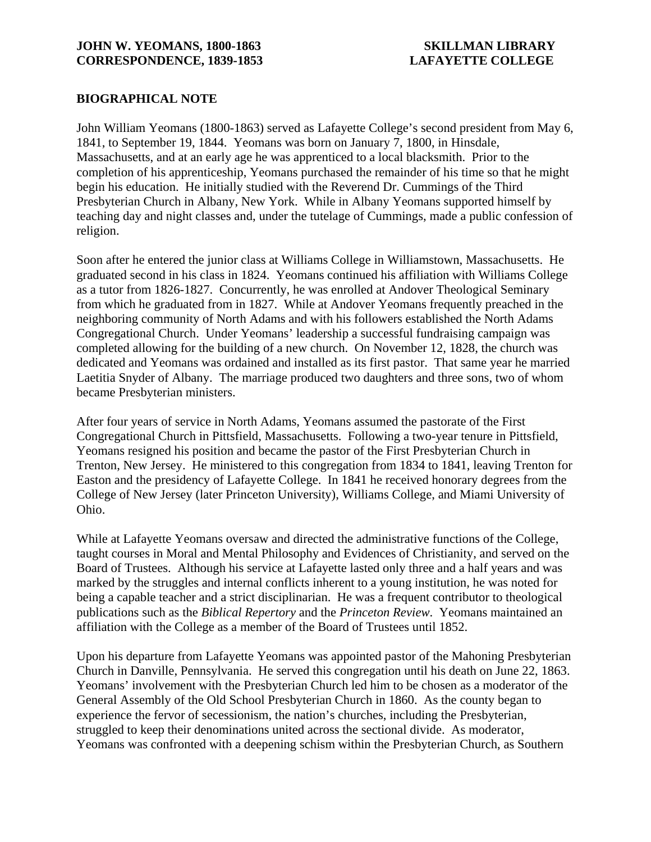## **BIOGRAPHICAL NOTE**

John William Yeomans (1800-1863) served as Lafayette College's second president from May 6, 1841, to September 19, 1844. Yeomans was born on January 7, 1800, in Hinsdale, Massachusetts, and at an early age he was apprenticed to a local blacksmith. Prior to the completion of his apprenticeship, Yeomans purchased the remainder of his time so that he might begin his education. He initially studied with the Reverend Dr. Cummings of the Third Presbyterian Church in Albany, New York. While in Albany Yeomans supported himself by teaching day and night classes and, under the tutelage of Cummings, made a public confession of religion.

Soon after he entered the junior class at Williams College in Williamstown, Massachusetts. He graduated second in his class in 1824. Yeomans continued his affiliation with Williams College as a tutor from 1826-1827. Concurrently, he was enrolled at Andover Theological Seminary from which he graduated from in 1827. While at Andover Yeomans frequently preached in the neighboring community of North Adams and with his followers established the North Adams Congregational Church. Under Yeomans' leadership a successful fundraising campaign was completed allowing for the building of a new church. On November 12, 1828, the church was dedicated and Yeomans was ordained and installed as its first pastor. That same year he married Laetitia Snyder of Albany. The marriage produced two daughters and three sons, two of whom became Presbyterian ministers.

After four years of service in North Adams, Yeomans assumed the pastorate of the First Congregational Church in Pittsfield, Massachusetts. Following a two-year tenure in Pittsfield, Yeomans resigned his position and became the pastor of the First Presbyterian Church in Trenton, New Jersey. He ministered to this congregation from 1834 to 1841, leaving Trenton for Easton and the presidency of Lafayette College. In 1841 he received honorary degrees from the College of New Jersey (later Princeton University), Williams College, and Miami University of Ohio.

While at Lafayette Yeomans oversaw and directed the administrative functions of the College, taught courses in Moral and Mental Philosophy and Evidences of Christianity, and served on the Board of Trustees. Although his service at Lafayette lasted only three and a half years and was marked by the struggles and internal conflicts inherent to a young institution, he was noted for being a capable teacher and a strict disciplinarian. He was a frequent contributor to theological publications such as the *Biblical Repertory* and the *Princeton Review*. Yeomans maintained an affiliation with the College as a member of the Board of Trustees until 1852.

Upon his departure from Lafayette Yeomans was appointed pastor of the Mahoning Presbyterian Church in Danville, Pennsylvania. He served this congregation until his death on June 22, 1863. Yeomans' involvement with the Presbyterian Church led him to be chosen as a moderator of the General Assembly of the Old School Presbyterian Church in 1860. As the county began to experience the fervor of secessionism, the nation's churches, including the Presbyterian, struggled to keep their denominations united across the sectional divide. As moderator, Yeomans was confronted with a deepening schism within the Presbyterian Church, as Southern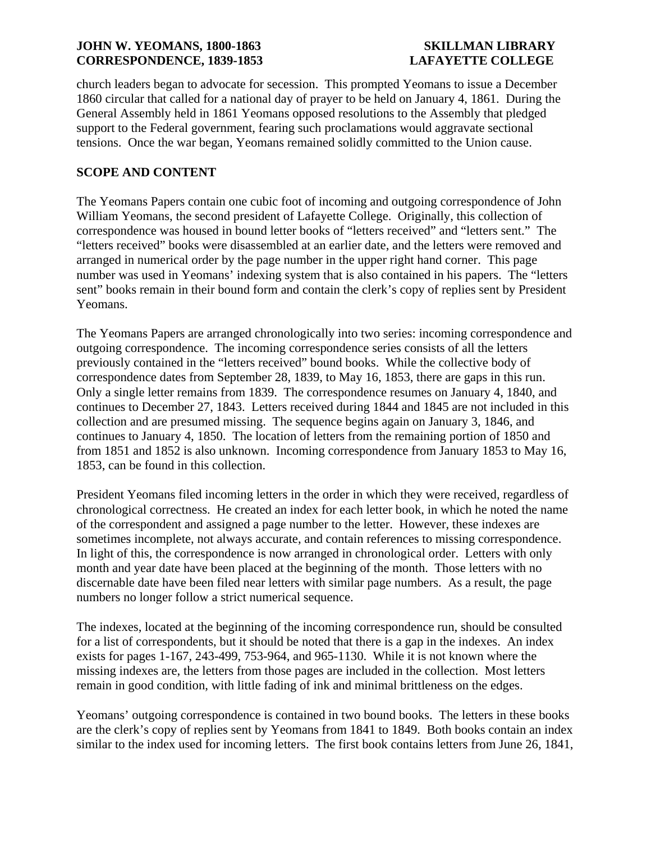church leaders began to advocate for secession. This prompted Yeomans to issue a December 1860 circular that called for a national day of prayer to be held on January 4, 1861. During the General Assembly held in 1861 Yeomans opposed resolutions to the Assembly that pledged support to the Federal government, fearing such proclamations would aggravate sectional tensions. Once the war began, Yeomans remained solidly committed to the Union cause.

# **SCOPE AND CONTENT**

The Yeomans Papers contain one cubic foot of incoming and outgoing correspondence of John William Yeomans, the second president of Lafayette College. Originally, this collection of correspondence was housed in bound letter books of "letters received" and "letters sent." The "letters received" books were disassembled at an earlier date, and the letters were removed and arranged in numerical order by the page number in the upper right hand corner. This page number was used in Yeomans' indexing system that is also contained in his papers. The "letters sent" books remain in their bound form and contain the clerk's copy of replies sent by President Yeomans.

The Yeomans Papers are arranged chronologically into two series: incoming correspondence and outgoing correspondence. The incoming correspondence series consists of all the letters previously contained in the "letters received" bound books. While the collective body of correspondence dates from September 28, 1839, to May 16, 1853, there are gaps in this run. Only a single letter remains from 1839. The correspondence resumes on January 4, 1840, and continues to December 27, 1843. Letters received during 1844 and 1845 are not included in this collection and are presumed missing. The sequence begins again on January 3, 1846, and continues to January 4, 1850. The location of letters from the remaining portion of 1850 and from 1851 and 1852 is also unknown. Incoming correspondence from January 1853 to May 16, 1853, can be found in this collection.

President Yeomans filed incoming letters in the order in which they were received, regardless of chronological correctness. He created an index for each letter book, in which he noted the name of the correspondent and assigned a page number to the letter. However, these indexes are sometimes incomplete, not always accurate, and contain references to missing correspondence. In light of this, the correspondence is now arranged in chronological order. Letters with only month and year date have been placed at the beginning of the month. Those letters with no discernable date have been filed near letters with similar page numbers. As a result, the page numbers no longer follow a strict numerical sequence.

The indexes, located at the beginning of the incoming correspondence run, should be consulted for a list of correspondents, but it should be noted that there is a gap in the indexes. An index exists for pages 1-167, 243-499, 753-964, and 965-1130. While it is not known where the missing indexes are, the letters from those pages are included in the collection. Most letters remain in good condition, with little fading of ink and minimal brittleness on the edges.

Yeomans' outgoing correspondence is contained in two bound books. The letters in these books are the clerk's copy of replies sent by Yeomans from 1841 to 1849. Both books contain an index similar to the index used for incoming letters. The first book contains letters from June 26, 1841,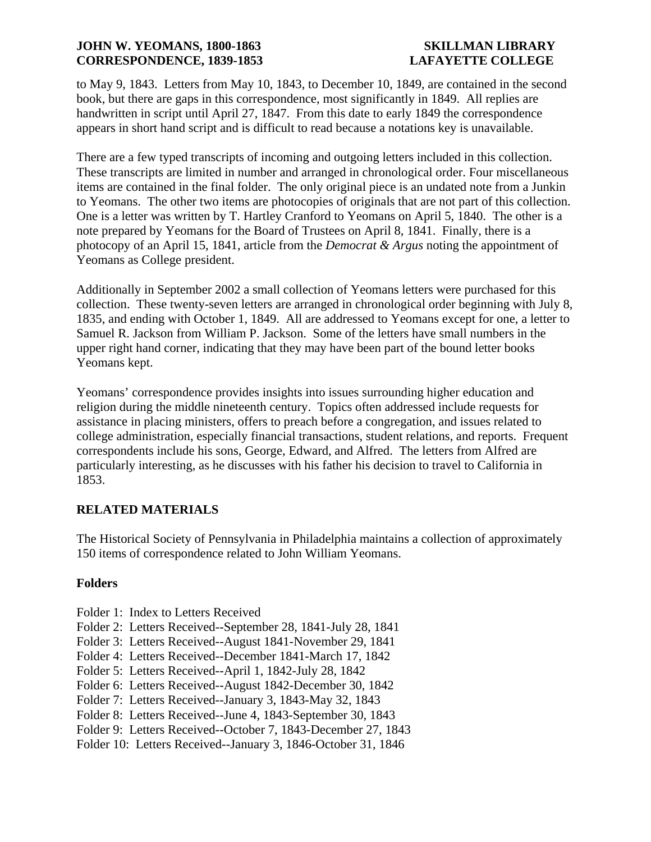to May 9, 1843. Letters from May 10, 1843, to December 10, 1849, are contained in the second book, but there are gaps in this correspondence, most significantly in 1849. All replies are handwritten in script until April 27, 1847. From this date to early 1849 the correspondence appears in short hand script and is difficult to read because a notations key is unavailable.

There are a few typed transcripts of incoming and outgoing letters included in this collection. These transcripts are limited in number and arranged in chronological order. Four miscellaneous items are contained in the final folder. The only original piece is an undated note from a Junkin to Yeomans. The other two items are photocopies of originals that are not part of this collection. One is a letter was written by T. Hartley Cranford to Yeomans on April 5, 1840. The other is a note prepared by Yeomans for the Board of Trustees on April 8, 1841. Finally, there is a photocopy of an April 15, 1841, article from the *Democrat & Argus* noting the appointment of Yeomans as College president.

Additionally in September 2002 a small collection of Yeomans letters were purchased for this collection. These twenty-seven letters are arranged in chronological order beginning with July 8, 1835, and ending with October 1, 1849. All are addressed to Yeomans except for one, a letter to Samuel R. Jackson from William P. Jackson. Some of the letters have small numbers in the upper right hand corner, indicating that they may have been part of the bound letter books Yeomans kept.

Yeomans' correspondence provides insights into issues surrounding higher education and religion during the middle nineteenth century. Topics often addressed include requests for assistance in placing ministers, offers to preach before a congregation, and issues related to college administration, especially financial transactions, student relations, and reports. Frequent correspondents include his sons, George, Edward, and Alfred. The letters from Alfred are particularly interesting, as he discusses with his father his decision to travel to California in 1853.

## **RELATED MATERIALS**

The Historical Society of Pennsylvania in Philadelphia maintains a collection of approximately 150 items of correspondence related to John William Yeomans.

## **Folders**

- Folder 1: Index to Letters Received
- Folder 2: Letters Received--September 28, 1841-July 28, 1841
- Folder 3: Letters Received--August 1841-November 29, 1841
- Folder 4: Letters Received--December 1841-March 17, 1842
- Folder 5: Letters Received--April 1, 1842-July 28, 1842
- Folder 6: Letters Received--August 1842-December 30, 1842
- Folder 7: Letters Received--January 3, 1843-May 32, 1843
- Folder 8: Letters Received--June 4, 1843-September 30, 1843
- Folder 9: Letters Received--October 7, 1843-December 27, 1843
- Folder 10: Letters Received--January 3, 1846-October 31, 1846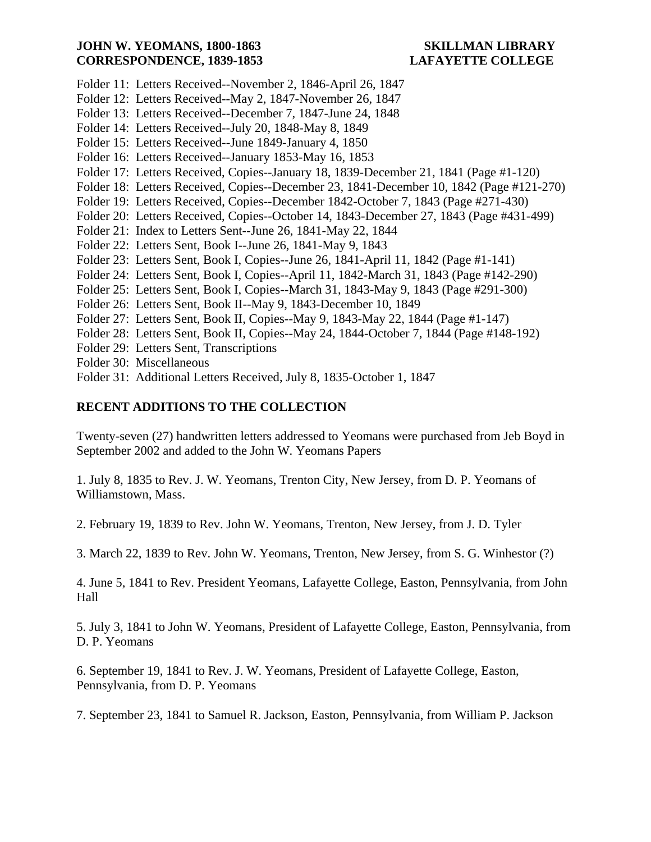- Folder 11: Letters Received--November 2, 1846-April 26, 1847
- Folder 12: Letters Received--May 2, 1847-November 26, 1847
- Folder 13: Letters Received--December 7, 1847-June 24, 1848
- Folder 14: Letters Received--July 20, 1848-May 8, 1849
- Folder 15: Letters Received--June 1849-January 4, 1850
- Folder 16: Letters Received--January 1853-May 16, 1853
- Folder 17: Letters Received, Copies--January 18, 1839-December 21, 1841 (Page #1-120)
- Folder 18: Letters Received, Copies--December 23, 1841-December 10, 1842 (Page #121-270)
- Folder 19: Letters Received, Copies--December 1842-October 7, 1843 (Page #271-430)
- Folder 20: Letters Received, Copies--October 14, 1843-December 27, 1843 (Page #431-499)
- Folder 21: Index to Letters Sent--June 26, 1841-May 22, 1844
- Folder 22: Letters Sent, Book I--June 26, 1841-May 9, 1843
- Folder 23: Letters Sent, Book I, Copies--June 26, 1841-April 11, 1842 (Page #1-141)
- Folder 24: Letters Sent, Book I, Copies--April 11, 1842-March 31, 1843 (Page #142-290)
- Folder 25: Letters Sent, Book I, Copies--March 31, 1843-May 9, 1843 (Page #291-300)
- Folder 26: Letters Sent, Book II--May 9, 1843-December 10, 1849
- Folder 27: Letters Sent, Book II, Copies--May 9, 1843-May 22, 1844 (Page #1-147)
- Folder 28: Letters Sent, Book II, Copies--May 24, 1844-October 7, 1844 (Page #148-192)
- Folder 29: Letters Sent, Transcriptions
- Folder 30: Miscellaneous
- Folder 31: Additional Letters Received, July 8, 1835-October 1, 1847

## **RECENT ADDITIONS TO THE COLLECTION**

Twenty-seven (27) handwritten letters addressed to Yeomans were purchased from Jeb Boyd in September 2002 and added to the John W. Yeomans Papers

1. July 8, 1835 to Rev. J. W. Yeomans, Trenton City, New Jersey, from D. P. Yeomans of Williamstown, Mass.

2. February 19, 1839 to Rev. John W. Yeomans, Trenton, New Jersey, from J. D. Tyler

3. March 22, 1839 to Rev. John W. Yeomans, Trenton, New Jersey, from S. G. Winhestor (?)

4. June 5, 1841 to Rev. President Yeomans, Lafayette College, Easton, Pennsylvania, from John Hall

5. July 3, 1841 to John W. Yeomans, President of Lafayette College, Easton, Pennsylvania, from D. P. Yeomans

6. September 19, 1841 to Rev. J. W. Yeomans, President of Lafayette College, Easton, Pennsylvania, from D. P. Yeomans

7. September 23, 1841 to Samuel R. Jackson, Easton, Pennsylvania, from William P. Jackson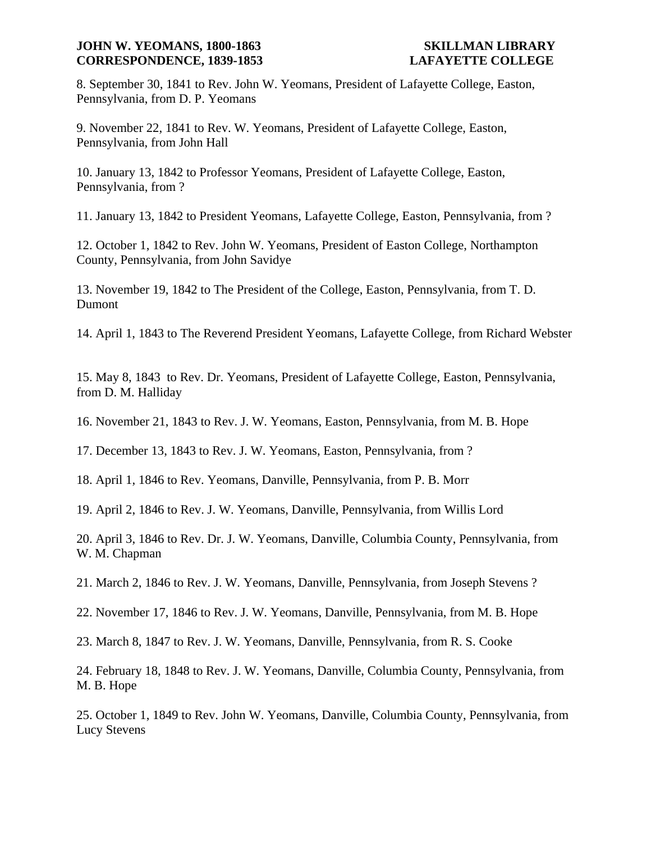8. September 30, 1841 to Rev. John W. Yeomans, President of Lafayette College, Easton, Pennsylvania, from D. P. Yeomans

9. November 22, 1841 to Rev. W. Yeomans, President of Lafayette College, Easton, Pennsylvania, from John Hall

10. January 13, 1842 to Professor Yeomans, President of Lafayette College, Easton, Pennsylvania, from ?

11. January 13, 1842 to President Yeomans, Lafayette College, Easton, Pennsylvania, from ?

12. October 1, 1842 to Rev. John W. Yeomans, President of Easton College, Northampton County, Pennsylvania, from John Savidye

13. November 19, 1842 to The President of the College, Easton, Pennsylvania, from T. D. Dumont

14. April 1, 1843 to The Reverend President Yeomans, Lafayette College, from Richard Webster

15. May 8, 1843 to Rev. Dr. Yeomans, President of Lafayette College, Easton, Pennsylvania, from D. M. Halliday

16. November 21, 1843 to Rev. J. W. Yeomans, Easton, Pennsylvania, from M. B. Hope

17. December 13, 1843 to Rev. J. W. Yeomans, Easton, Pennsylvania, from ?

18. April 1, 1846 to Rev. Yeomans, Danville, Pennsylvania, from P. B. Morr

19. April 2, 1846 to Rev. J. W. Yeomans, Danville, Pennsylvania, from Willis Lord

20. April 3, 1846 to Rev. Dr. J. W. Yeomans, Danville, Columbia County, Pennsylvania, from W. M. Chapman

21. March 2, 1846 to Rev. J. W. Yeomans, Danville, Pennsylvania, from Joseph Stevens ?

22. November 17, 1846 to Rev. J. W. Yeomans, Danville, Pennsylvania, from M. B. Hope

23. March 8, 1847 to Rev. J. W. Yeomans, Danville, Pennsylvania, from R. S. Cooke

24. February 18, 1848 to Rev. J. W. Yeomans, Danville, Columbia County, Pennsylvania, from M. B. Hope

25. October 1, 1849 to Rev. John W. Yeomans, Danville, Columbia County, Pennsylvania, from Lucy Stevens